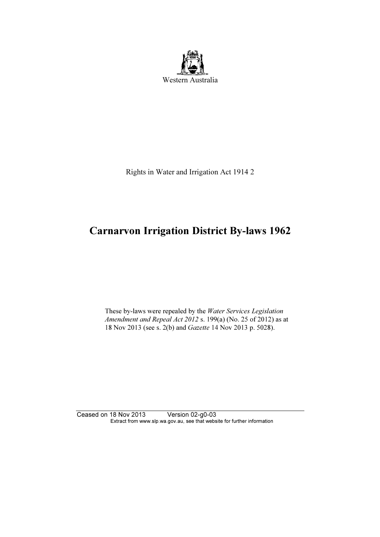

Rights in Water and Irrigation Act 1914 2

# Carnarvon Irrigation District By-laws 1962

 These by-laws were repealed by the Water Services Legislation Amendment and Repeal Act 2012 s. 199(a) (No. 25 of 2012) as at 18 Nov 2013 (see s. 2(b) and Gazette 14 Nov 2013 p. 5028).

Ceased on 18 Nov 2013 Version 02-g0-03 Extract from www.slp.wa.gov.au, see that website for further information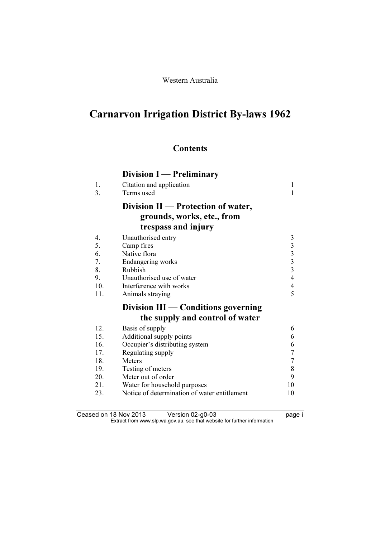# Carnarvon Irrigation District By-laws 1962

## **Contents**

| <b>Division I</b> — Preliminary |  |  |
|---------------------------------|--|--|
|---------------------------------|--|--|

| 1.<br>3. | Citation and application<br>Terms used                                                  | 1<br>1                                          |
|----------|-----------------------------------------------------------------------------------------|-------------------------------------------------|
|          | Division II — Protection of water,<br>grounds, works, etc., from<br>trespass and injury |                                                 |
|          |                                                                                         |                                                 |
| 4.       | Unauthorised entry                                                                      |                                                 |
| 5.       | Camp fires                                                                              |                                                 |
| 6.       | Native flora                                                                            | $\begin{array}{c} 3 \\ 3 \\ 3 \\ 3 \end{array}$ |
| 7.       | Endangering works                                                                       |                                                 |
| 8.       | Rubbish                                                                                 | $\overline{4}$                                  |
| 9.       | Unauthorised use of water                                                               |                                                 |
| 10.      | Interference with works                                                                 | $\overline{4}$<br>5                             |
| 11.      | Animals straying                                                                        |                                                 |
|          | Division III — Conditions governing                                                     |                                                 |
|          | the supply and control of water                                                         |                                                 |
| 12.      | Basis of supply                                                                         | 6                                               |
| 15.      | Additional supply points                                                                | 6                                               |
| 16.      | Occupier's distributing system                                                          | 6                                               |
| 17.      | Regulating supply                                                                       | $\sqrt{ }$                                      |
| 18.      | <b>Meters</b>                                                                           | $\sqrt{ }$                                      |
| 19.      | Testing of meters                                                                       | 8                                               |
| 20.      | Meter out of order                                                                      | 9                                               |
| 21.      | Water for household purposes                                                            | 10                                              |
| 23.      | Notice of determination of water entitlement                                            | 10                                              |

Ceased on 18 Nov 2013 Version 02-g0-03 page i  $\mathbf{F}$  from which was the set that we besite for further information  $\mathbf{F}$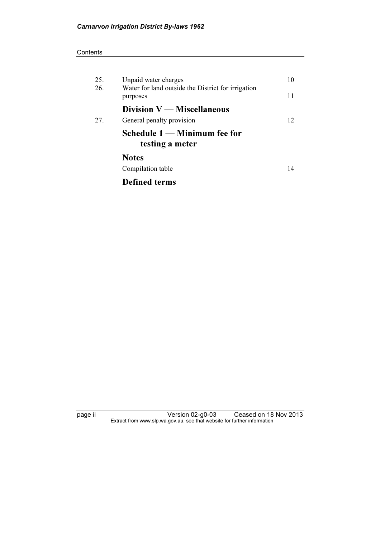#### **Contents**

| 25.<br>26. | Unpaid water charges<br>Water for land outside the District for irrigation<br>purposes | 10<br>11 |
|------------|----------------------------------------------------------------------------------------|----------|
|            | Division $V$ — Miscellaneous                                                           |          |
| 27.        | General penalty provision                                                              | 12       |
|            | Schedule 1 — Minimum fee for<br>testing a meter                                        |          |
|            | <b>Notes</b>                                                                           |          |
|            | Compilation table                                                                      | 14       |
|            | <b>Defined terms</b>                                                                   |          |

page ii Version 02-g0-03 Ceased on 18 Nov 2013  $\mathbf{F}$  from which was the set that we besite for further information  $\mathbf{F}$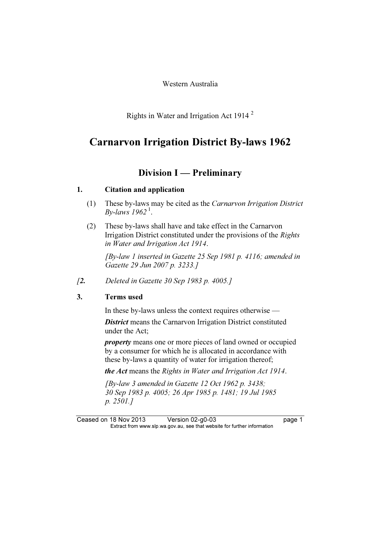Western Australia

Rights in Water and Irrigation Act 1914 <sup>2</sup>

# $\sum_{i=1}^{n}$

### Division I — Preliminary

#### 1. Citation and application

- (1) These by-laws may be cited as the Carnarvon Irrigation District By-laws  $1962<sup>1</sup>$ .
- (2) These by-laws shall have and take effect in the Carnarvon Irrigation District constituted under the provisions of the Rights in Water and Irrigation Act 1914.

 [By-law 1 inserted in Gazette 25 Sep 1981 p. 4116; amended in Gazette 29 Jun 2007 p. 3233.]

[2. Deleted in Gazette 30 Sep 1983 p. 4005.]

#### 3. Terms used

In these by-laws unless the context requires otherwise —

**District** means the Carnarvon Irrigation District constituted under the Act;

property means one or more pieces of land owned or occupied by a consumer for which he is allocated in accordance with these by-laws a quantity of water for irrigation thereof;

the Act means the Rights in Water and Irrigation Act 1914.

 [By-law 3 amended in Gazette 12 Oct 1962 p. 3438; 30 Sep 1983 p. 4005; 26 Apr 1985 p. 1481; 19 Jul 1985 p. 2501.]

Ceased on 18 Nov 2013 Version 02-g0-03 page 1<br>Extract from www.slp.wa.gov.au, see that website for further information  $\mathbf{F}$  from which was the set that we besite for further information  $\mathbf{F}$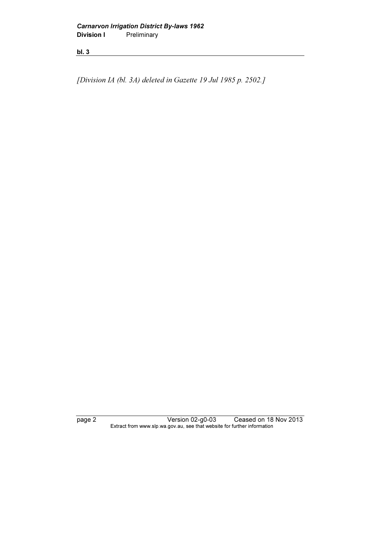[Division IA (bl. 3A) deleted in Gazette 19 Jul 1985 p. 2502.]

page 2 Version 02-g0-03 Ceased on 18 Nov 2013 Extract from www.slp.wa.gov.au, see that website for further information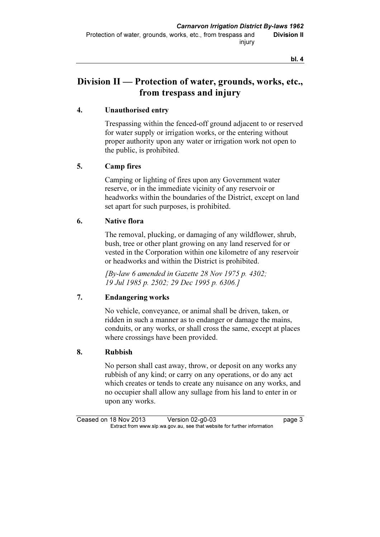# Division II — Protection of water, grounds, works, etc., from trespass and injury

#### 4. Unauthorised entry

 Trespassing within the fenced-off ground adjacent to or reserved for water supply or irrigation works, or the entering without proper authority upon any water or irrigation work not open to the public, is prohibited.

#### 5. Camp fires

 Camping or lighting of fires upon any Government water reserve, or in the immediate vicinity of any reservoir or headworks within the boundaries of the District, except on land set apart for such purposes, is prohibited.

#### 6. Native flora

 The removal, plucking, or damaging of any wildflower, shrub, bush, tree or other plant growing on any land reserved for or vested in the Corporation within one kilometre of any reservoir or headworks and within the District is prohibited.

 $[By-law 6 amended in Gazette 28 Nov 1975 p. 4302]$ ; 19 Jul 1985 p. 2502; 29 Dec 1995 p. 6306.]

#### 7. Endangering works

 No vehicle, conveyance, or animal shall be driven, taken, or ridden in such a manner as to endanger or damage the mains, conduits, or any works, or shall cross the same, except at places where crossings have been provided.

#### 8. Rubbish

 No person shall cast away, throw, or deposit on any works any rubbish of any kind; or carry on any operations, or do any act which creates or tends to create any nuisance on any works, and no occupier shall allow any sullage from his land to enter in or upon any works.

Ceased on 18 Nov 2013 Version 02-g0-03 page 3<br>Extract from www.slp.wa.gov.au, see that website for further information  $\mathbf{F}$  from which was the set that we besite for further information  $\mathbf{F}$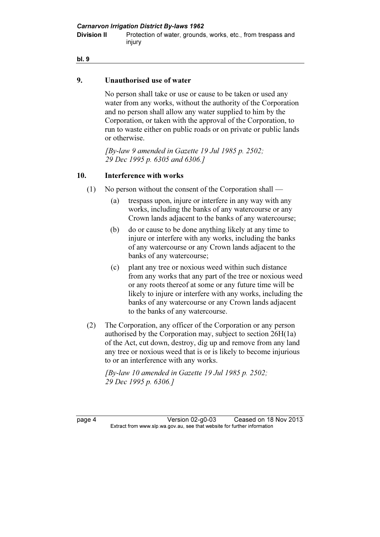**Division II Protection of water, grounds, works, etc., from trespass and Protection of water, grounds, works, etc., from trespass and** injury

#### bl. 9

#### 9. Unauthorised use of water

 No person shall take or use or cause to be taken or used any water from any works, without the authority of the Corporation and no person shall allow any water supplied to him by the Corporation, or taken with the approval of the Corporation, to run to waste either on public roads or on private or public lands or otherwise.

 [By-law 9 amended in Gazette 19 Jul 1985 p. 2502; 29 Dec 1995 p. 6305 and 6306.]

#### 10. Interference with works

- (1) No person without the consent of the Corporation shall
	- (a) trespass upon, injure or interfere in any way with any works, including the banks of any watercourse or any Crown lands adjacent to the banks of any watercourse;
	- (b) do or cause to be done anything likely at any time to injure or interfere with any works, including the banks of any watercourse or any Crown lands adjacent to the banks of any watercourse;
	- (c) plant any tree or noxious weed within such distance from any works that any part of the tree or noxious weed or any roots thereof at some or any future time will be likely to injure or interfere with any works, including the banks of any watercourse or any Crown lands adjacent to the banks of any watercourse.
- (2) The Corporation, any officer of the Corporation or any person authorised by the Corporation may, subject to section 26H(1a) of the Act, cut down, destroy, dig up and remove from any land any tree or noxious weed that is or is likely to become injurious to or an interference with any works.

 [By-law 10 amended in Gazette 19 Jul 1985 p. 2502; 29 Dec 1995 p. 6306.]

page 4 Version 02-g0-03 Ceased on 18 Nov 2013<br>Extract from www.slp.wa.gov.au, see that website for further information  $\mathbf{F}$  from which was the set that we besite for further information  $\mathbf{F}$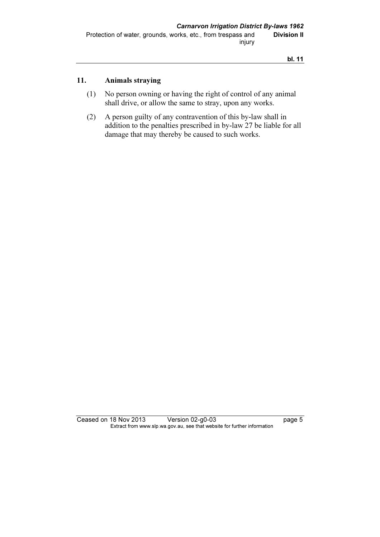#### 11. Animals straying

- (1) No person owning or having the right of control of any animal shall drive, or allow the same to stray, upon any works.
- (2) A person guilty of any contravention of this by-law shall in addition to the penalties prescribed in by-law 27 be liable for all damage that may thereby be caused to such works.

Ceased on 18 Nov 2013 Version 02-g0-03 page 5 Extract from www.slp.wa.gov.au, see that website for further information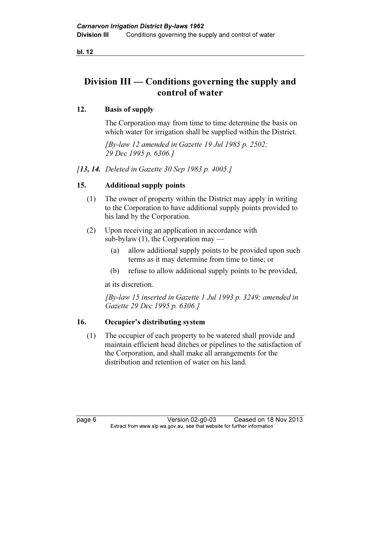# Division III — Conditions governing the supply and control of water

#### 12. Basis of supply

 The Corporation may from time to time determine the basis on which water for irrigation shall be supplied within the District.

 [By-law 12 amended in Gazette 19 Jul 1985 p. 2502; 29 Dec 1995 p. 6306.]

[13, 14. Deleted in Gazette 30 Sep 1983 p. 4005.]

#### 15. Additional supply points

- (1) The owner of property within the District may apply in writing to the Corporation to have additional supply points provided to his land by the Corporation.
- (2) Upon receiving an application in accordance with sub-bylaw  $(1)$ , the Corporation may —
	- (a) allow additional supply points to be provided upon such terms as it may determine from time to time; or
	- (b) refuse to allow additional supply points to be provided,

at its discretion.

 [By-law 15 inserted in Gazette 1 Jul 1993 p. 3249; amended in Gazette 29 Dec 1995 p. 6306.]

#### 16. Occupier's distributing system

 (1) The occupier of each property to be watered shall provide and maintain efficient head ditches or pipelines to the satisfaction of the Corporation, and shall make all arrangements for the distribution and retention of water on his land.

page 6 Version 02-g0-03 Ceased on 18 Nov 2013<br>Extract from www.slp.wa.gov.au, see that website for further information  $\mathbf{F}$  from which was the set that we besite for further information  $\mathbf{F}$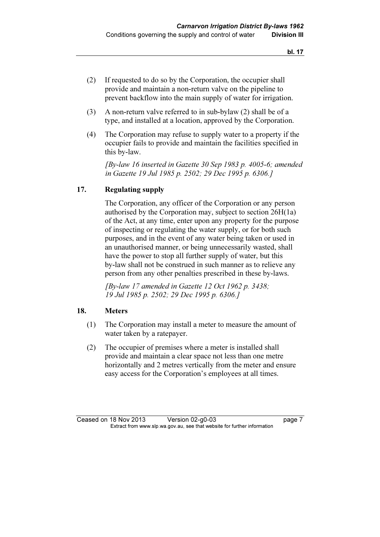- (2) If requested to do so by the Corporation, the occupier shall provide and maintain a non-return valve on the pipeline to prevent backflow into the main supply of water for irrigation.
- (3) A non-return valve referred to in sub-bylaw (2) shall be of a type, and installed at a location, approved by the Corporation.
- (4) The Corporation may refuse to supply water to a property if the occupier fails to provide and maintain the facilities specified in this by-law.

 [By-law 16 inserted in Gazette 30 Sep 1983 p. 4005-6; amended in Gazette 19 Jul 1985 p. 2502; 29 Dec 1995 p. 6306.]

#### 17. Regulating supply

 The Corporation, any officer of the Corporation or any person authorised by the Corporation may, subject to section 26H(1a) of the Act, at any time, enter upon any property for the purpose of inspecting or regulating the water supply, or for both such purposes, and in the event of any water being taken or used in an unauthorised manner, or being unnecessarily wasted, shall have the power to stop all further supply of water, but this by-law shall not be construed in such manner as to relieve any person from any other penalties prescribed in these by-laws.

 [By-law 17 amended in Gazette 12 Oct 1962 p. 3438; 19 Jul 1985 p. 2502; 29 Dec 1995 p. 6306.]

#### 18. Meters

- (1) The Corporation may install a meter to measure the amount of water taken by a ratepayer.
- (2) The occupier of premises where a meter is installed shall provide and maintain a clear space not less than one metre horizontally and 2 metres vertically from the meter and ensure easy access for the Corporation's employees at all times.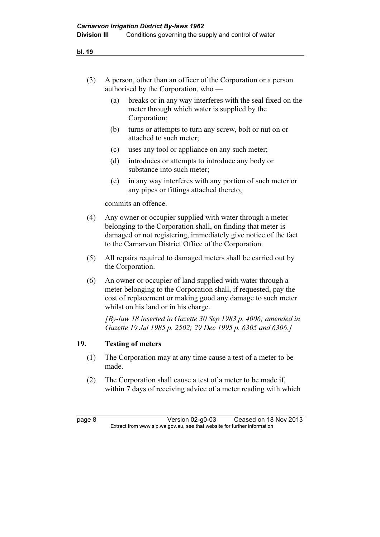| A person, other than an officer of the Corporation or a person |
|----------------------------------------------------------------|
| authorised by the Corporation, who $-$                         |

- (a) breaks or in any way interferes with the seal fixed on the meter through which water is supplied by the Corporation;
- (b) turns or attempts to turn any screw, bolt or nut on or attached to such meter;
- (c) uses any tool or appliance on any such meter;
- (d) introduces or attempts to introduce any body or substance into such meter;
- (e) in any way interferes with any portion of such meter or any pipes or fittings attached thereto,

commits an offence.

- (4) Any owner or occupier supplied with water through a meter belonging to the Corporation shall, on finding that meter is damaged or not registering, immediately give notice of the fact to the Carnarvon District Office of the Corporation.
- (5) All repairs required to damaged meters shall be carried out by the Corporation.
- (6) An owner or occupier of land supplied with water through a meter belonging to the Corporation shall, if requested, pay the cost of replacement or making good any damage to such meter whilst on his land or in his charge.

 [By-law 18 inserted in Gazette 30 Sep 1983 p. 4006; amended in Gazette 19 Jul 1985 p. 2502; 29 Dec 1995 p. 6305 and 6306.]

#### 19. Testing of meters

- (1) The Corporation may at any time cause a test of a meter to be made.
- (2) The Corporation shall cause a test of a meter to be made if, within 7 days of receiving advice of a meter reading with which

page 8 Version 02-g0-03 Ceased on 18 Nov 2013<br>Extract from www.slp.wa.gov.au, see that website for further information  $\mathbf{F}$  from which was the set that we besite for further information  $\mathbf{F}$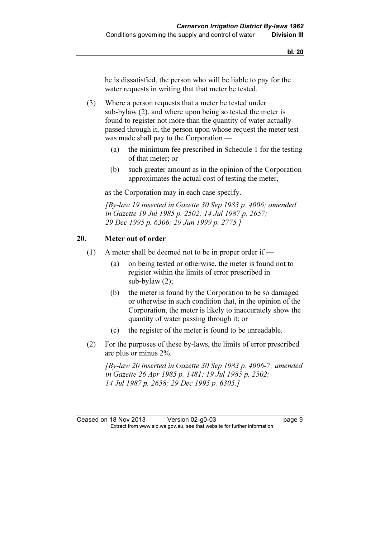he is dissatisfied, the person who will be liable to pay for the water requests in writing that that meter be tested.

- (3) Where a person requests that a meter be tested under sub-bylaw (2), and where upon being so tested the meter is found to register not more than the quantity of water actually passed through it, the person upon whose request the meter test was made shall pay to the Corporation —
	- (a) the minimum fee prescribed in Schedule 1 for the testing of that meter; or
	- (b) such greater amount as in the opinion of the Corporation approximates the actual cost of testing the meter,

as the Corporation may in each case specify.

 [By-law 19 inserted in Gazette 30 Sep 1983 p. 4006; amended in Gazette 19 Jul 1985 p. 2502; 14 Jul 1987 p. 2657; 29 Dec 1995 p. 6306; 29 Jun 1999 p. 2775.]

#### 20. Meter out of order

- (1) A meter shall be deemed not to be in proper order if
	- (a) on being tested or otherwise, the meter is found not to register within the limits of error prescribed in sub-bylaw (2);
	- (b) the meter is found by the Corporation to be so damaged or otherwise in such condition that, in the opinion of the Corporation, the meter is likely to inaccurately show the quantity of water passing through it; or
	- (c) the register of the meter is found to be unreadable.
- (2) For the purposes of these by-laws, the limits of error prescribed are plus or minus 2%.

 [By-law 20 inserted in Gazette 30 Sep 1983 p. 4006-7; amended in Gazette 26 Apr 1985 p. 1481; 19 Jul 1985 p. 2502; 14 Jul 1987 p. 2658; 29 Dec 1995 p. 6305.]

Ceased on 18 Nov 2013 Version 02-g0-03 page 9<br>Extract from www.slp.wa.gov.au, see that website for further information  $\mathbf{F}$  from which was the set that we besite for further information  $\mathbf{F}$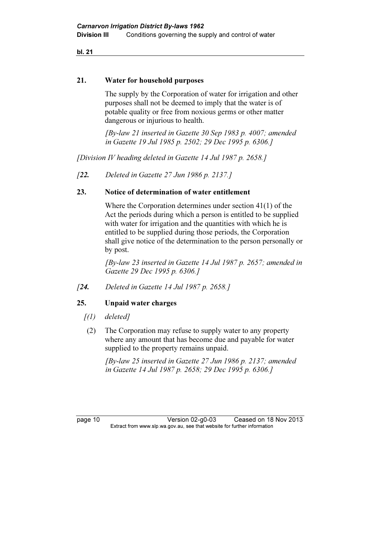#### 21. Water for household purposes

 The supply by the Corporation of water for irrigation and other purposes shall not be deemed to imply that the water is of potable quality or free from noxious germs or other matter dangerous or injurious to health.

 [By-law 21 inserted in Gazette 30 Sep 1983 p. 4007; amended in Gazette 19 Jul 1985 p. 2502; 29 Dec 1995 p. 6306.]

[Division IV heading deleted in Gazette 14 Jul 1987 p. 2658.]

[22. Deleted in Gazette 27 Jun 1986 p. 2137.]

#### 23. Notice of determination of water entitlement

 Where the Corporation determines under section 41(1) of the Act the periods during which a person is entitled to be supplied with water for irrigation and the quantities with which he is entitled to be supplied during those periods, the Corporation shall give notice of the determination to the person personally or by post.

 [By-law 23 inserted in Gazette 14 Jul 1987 p. 2657; amended in Gazette 29 Dec 1995 p. 6306.]

[24. Deleted in Gazette 14 Jul 1987 p. 2658.]

#### 25. Unpaid water charges

- $(1)$  deleted]
- (2) The Corporation may refuse to supply water to any property where any amount that has become due and payable for water supplied to the property remains unpaid.

 [By-law 25 inserted in Gazette 27 Jun 1986 p. 2137; amended in Gazette 14 Jul 1987 p. 2658; 29 Dec 1995 p. 6306.]

page 10 Version 02-g0-03 Ceased on 18 Nov 2013<br>Extract from www.slp.wa.gov.au, see that website for further information  $\mathbf{F}$  from which was the set that we besite for further information  $\mathbf{F}$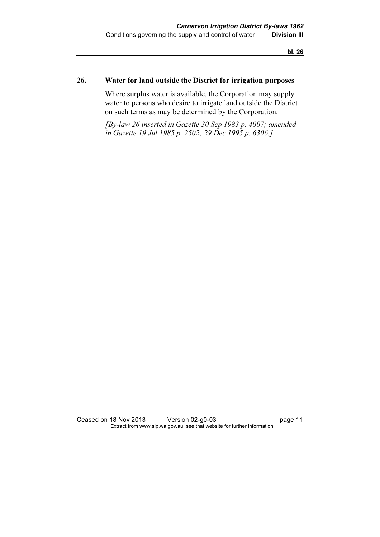#### 26. Water for land outside the District for irrigation purposes

 Where surplus water is available, the Corporation may supply water to persons who desire to irrigate land outside the District on such terms as may be determined by the Corporation.

 [By-law 26 inserted in Gazette 30 Sep 1983 p. 4007; amended in Gazette 19 Jul 1985 p. 2502; 29 Dec 1995 p. 6306.]

Ceased on 18 Nov 2013 Version 02-g0-03 page 11 Extract from www.slp.wa.gov.au, see that website for further information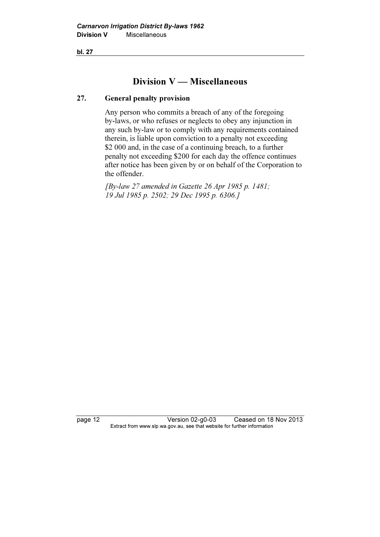## Division V — Miscellaneous

#### 27. General penalty provision

 Any person who commits a breach of any of the foregoing by-laws, or who refuses or neglects to obey any injunction in any such by-law or to comply with any requirements contained therein, is liable upon conviction to a penalty not exceeding \$2 000 and, in the case of a continuing breach, to a further penalty not exceeding \$200 for each day the offence continues after notice has been given by or on behalf of the Corporation to the offender.

 [By-law 27 amended in Gazette 26 Apr 1985 p. 1481; 19 Jul 1985 p. 2502; 29 Dec 1995 p. 6306.]

page 12 Version 02-g0-03 Ceased on 18 Nov 2013<br>Extract from www.slp.wa.gov.au, see that website for further information  $\mathbf{F}$  from which was the set that we besite for further information  $\mathbf{F}$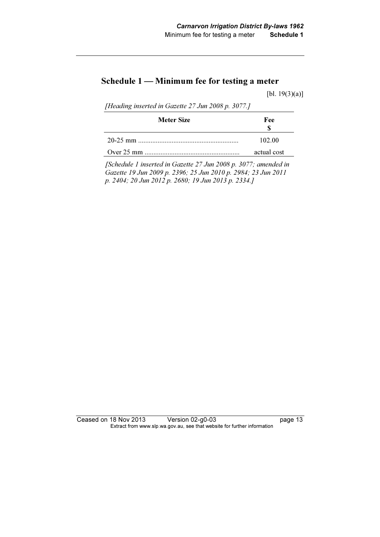# Schedule 1 — Minimum fee for testing a meter

[bl. 19(3)(a)]

[Heading inserted in Gazette 27 Jun 2008 p. 3077.]

| Meter Size | Fee         |
|------------|-------------|
|            | 102.00      |
|            | actual cost |

 [Schedule 1 inserted in Gazette 27 Jun 2008 p. 3077; amended in Gazette 19 Jun 2009 p. 2396; 25 Jun 2010 p. 2984; 23 Jun 2011 p. 2404; 20 Jun 2012 p. 2680; 19 Jun 2013 p. 2334.]

Ceased on 18 Nov 2013 Version 02-g0-03 page 13 Extract from www.slp.wa.gov.au, see that website for further information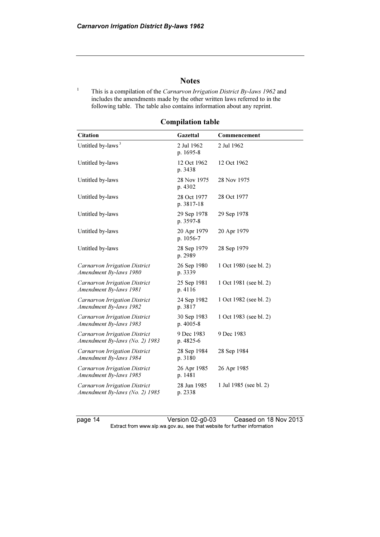#### **Notes**

1 This is a compilation of the Carnarvon Irrigation District By-laws 1962 and includes the amendments made by the other written laws referred to in the following table. The table also contains information about any reprint.

| <b>Citation</b>                                                 | Gazettal                  | Commencement           |
|-----------------------------------------------------------------|---------------------------|------------------------|
| Untitled by-laws <sup>3</sup>                                   | 2 Jul 1962<br>p. 1695-8   | 2 Jul 1962             |
| Untitled by-laws                                                | 12 Oct 1962<br>p. 3438    | 12 Oct 1962            |
| Untitled by-laws                                                | 28 Nov 1975<br>p. 4302    | 28 Nov 1975            |
| Untitled by-laws                                                | 28 Oct 1977<br>p. 3817-18 | 28 Oct 1977            |
| Untitled by-laws                                                | 29 Sep 1978<br>p. 3597-8  | 29 Sep 1978            |
| Untitled by-laws                                                | 20 Apr 1979<br>p. 1056-7  | 20 Apr 1979            |
| Untitled by-laws                                                | 28 Sep 1979<br>p. 2989    | 28 Sep 1979            |
| Carnarvon Irrigation District<br>Amendment By-laws 1980         | 26 Sep 1980<br>p. 3339    | 1 Oct 1980 (see bl. 2) |
| Carnarvon Irrigation District<br>Amendment By-laws 1981         | 25 Sep 1981<br>p. 4116    | 1 Oct 1981 (see bl. 2) |
| Carnarvon Irrigation District<br>Amendment By-laws 1982         | 24 Sep 1982<br>p. 3817    | 1 Oct 1982 (see bl. 2) |
| Carnarvon Irrigation District<br>Amendment By-laws 1983         | 30 Sep 1983<br>p. 4005-8  | 1 Oct 1983 (see bl. 2) |
| Carnarvon Irrigation District<br>Amendment By-laws (No. 2) 1983 | 9 Dec 1983<br>p. 4825-6   | 9 Dec 1983             |
| Carnarvon Irrigation District<br>Amendment By-laws 1984         | 28 Sep 1984<br>p. 3180    | 28 Sep 1984            |
| Carnarvon Irrigation District<br>Amendment By-laws 1985         | 26 Apr 1985<br>p. 1481    | 26 Apr 1985            |
| Carnarvon Irrigation District<br>Amendment By-laws (No. 2) 1985 | 28 Jun 1985<br>p. 2338    | 1 Jul 1985 (see bl. 2) |

#### Compilation table

page 14 Version 02-g0-03 Ceased on 18 Nov 2013 Extract from www.slp.wa.gov.au, see that website for further information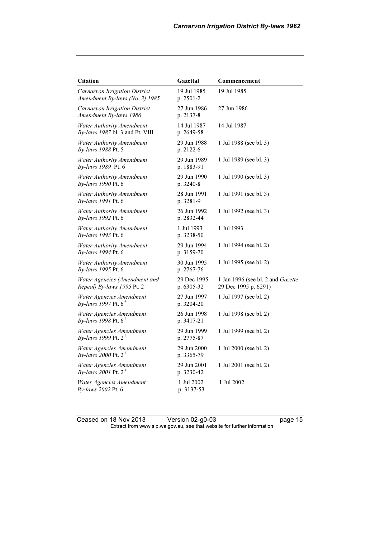| <b>Citation</b>                                                     | Gazettal                  | Commencement                                              |
|---------------------------------------------------------------------|---------------------------|-----------------------------------------------------------|
| Carnarvon Irrigation District<br>Amendment By-laws (No. 3) 1985     | 19 Jul 1985<br>p. 2501-2  | 19 Jul 1985                                               |
| Carnarvon Irrigation District<br>Amendment By-laws 1986             | 27 Jun 1986<br>p. 2137-8  | 27 Jun 1986                                               |
| <b>Water Authority Amendment</b><br>By-laws 1987 bl. 3 and Pt. VIII | 14 Jul 1987<br>p. 2649-58 | 14 Jul 1987                                               |
| Water Authority Amendment<br>By-laws 1988 Pt. 5                     | 29 Jun 1988<br>p. 2122-6  | 1 Jul 1988 (see bl. 3)                                    |
| <b>Water Authority Amendment</b><br>By-laws 1989 Pt. 6              | 29 Jun 1989<br>p. 1883-91 | 1 Jul 1989 (see bl. 3)                                    |
| <b>Water Authority Amendment</b><br>By-laws 1990 Pt. 6              | 29 Jun 1990<br>p. 3240-8  | 1 Jul 1990 (see bl. 3)                                    |
| <b>Water Authority Amendment</b><br>By-laws 1991 Pt. 6              | 28 Jun 1991<br>p. 3281-9  | 1 Jul 1991 (see bl. 3)                                    |
| <b>Water Authority Amendment</b><br>By-laws 1992 Pt. 6              | 26 Jun 1992<br>p. 2832-44 | 1 Jul 1992 (see bl. 3)                                    |
| <b>Water Authority Amendment</b><br>By-laws 1993 Pt. 6              | 1 Jul 1993<br>p. 3238-50  | 1 Jul 1993                                                |
| Water Authority Amendment<br>By-laws 1994 Pt. 6                     | 29 Jun 1994<br>p. 3159-70 | 1 Jul 1994 (see bl. 2)                                    |
| <b>Water Authority Amendment</b><br>By-laws 1995 Pt. 6              | 30 Jun 1995<br>p. 2767-76 | 1 Jul 1995 (see bl. 2)                                    |
| Water Agencies (Amendment and<br>Repeal) By-laws 1995 Pt. 2         | 29 Dec 1995<br>p. 6305-32 | 1 Jan 1996 (see bl. 2 and Gazette<br>29 Dec 1995 p. 6291) |
| Water Agencies Amendment<br><i>By-laws 1997 Pt.</i> 6 <sup>4</sup>  | 27 Jun 1997<br>p. 3204-20 | 1 Jul 1997 (see bl. 2)                                    |
| Water Agencies Amendment<br>By-laws 1998 Pt. 6 <sup>4</sup>         | 26 Jun 1998<br>p. 3417-21 | 1 Jul 1998 (see bl. 2)                                    |
| Water Agencies Amendment<br>By-laws 1999 Pt. 2 <sup>4</sup>         | 29 Jun 1999<br>p. 2775-87 | 1 Jul 1999 (see bl. 2)                                    |
| Water Agencies Amendment<br><i>By-laws</i> 2000 Pt. $2^4$           | 29 Jun 2000<br>p. 3365-79 | 1 Jul 2000 (see bl. 2)                                    |
| Water Agencies Amendment<br>By-laws 2001 Pt. 2 <sup>4</sup>         | 29 Jun 2001<br>p. 3230-42 | 1 Jul 2001 (see bl. 2)                                    |
| Water Agencies Amendment<br>By-laws 2002 Pt. 6                      | 1 Jul 2002<br>p. 3137-53  | 1 Jul 2002                                                |

Ceased on 18 Nov 2013 Version 02-g0-03 page 15  $\mathbf{F}$  from which was the set that we besite for further information  $\mathbf{F}$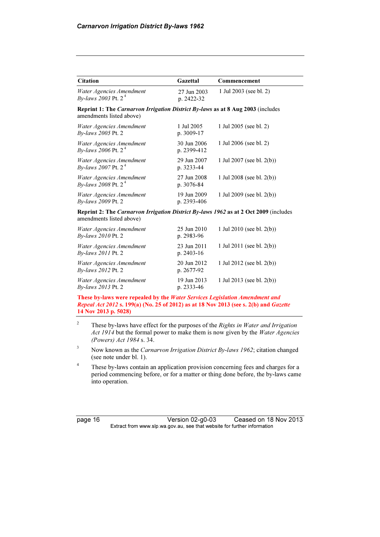| <b>Citation</b>                                                                                                  | Gazettal                   | Commencement                 |
|------------------------------------------------------------------------------------------------------------------|----------------------------|------------------------------|
| Water Agencies Amendment<br><i>By-laws</i> 2003 Pt. 2 <sup>4</sup>                                               | 27 Jun 2003<br>p. 2422-32  | 1 Jul 2003 (see bl. 2)       |
| Reprint 1: The Carnarvon Irrigation District By-laws as at 8 Aug 2003 (includes<br>amendments listed above)      |                            |                              |
| Water Agencies Amendment<br>By-laws 2005 Pt. 2                                                                   | 1 Jul 2005<br>p. 3009-17   | 1 Jul 2005 (see bl. 2)       |
| Water Agencies Amendment<br><i>By-laws</i> 2006 Pt. $2^4$                                                        | 30 Jun 2006<br>p. 2399-412 | 1 Jul 2006 (see bl. 2)       |
| Water Agencies Amendment<br><i>By-laws</i> 2007 Pt. 2 <sup>4</sup>                                               | 29 Jun 2007<br>p. 3233-44  | 1 Jul 2007 (see bl. 2(b))    |
| Water Agencies Amendment<br><i>By-laws</i> 2008 Pt. $2^4$                                                        | 27 Jun 2008<br>p. 3076-84  | 1 Jul 2008 (see bl. $2(b)$ ) |
| Water Agencies Amendment<br>By-laws 2009 Pt. 2                                                                   | 19 Jun 2009<br>p. 2393-406 | 1 Jul 2009 (see bl. 2(b))    |
| Reprint 2: The Carnarvon Irrigation District By-laws 1962 as at 2 Oct 2009 (includes<br>amendments listed above) |                            |                              |
| Water Agencies Amendment<br>By-laws 2010 Pt. 2                                                                   | 25 Jun 2010<br>p. 2983-96  | 1 Jul 2010 (see bl. $2(b)$ ) |
| Water Agencies Amendment<br>By-laws 2011 Pt. 2                                                                   | 23 Jun 2011<br>p. 2403-16  | 1 Jul 2011 (see bl. 2(b))    |
| Water Agencies Amendment                                                                                         | 20 Jun 2012                | 1 Jul 2012 (see bl. 2(b))    |

By-laws 2012 Pt. 2 p. 2677-92 Water Agencies Amendment By-laws 2013 Pt. 2 19 Jun 2013 p. 2333-46

These by-laws were repealed by the Water Services Legislation Amendment and Repeal Act 2012 s. 199(a) (No. 25 of 2012) as at 18 Nov 2013 (see s. 2(b) and Gazette 14 Nov 2013 p. 5028)

1 Jul 2013 (see bl. 2(b))

2 These by-laws have effect for the purposes of the Rights in Water and Irrigation Act 1914 but the formal power to make them is now given by the Water Agencies (Powers) Act 1984 s. 34.

3 Now known as the Carnarvon Irrigation District By-laws 1962; citation changed (see note under bl. 1).

4 These by-laws contain an application provision concerning fees and charges for a period commencing before, or for a matter or thing done before, the by-laws came into operation.

| page |  | 16 |
|------|--|----|
|------|--|----|

Version 02-g0-03 Ceased on 18 Nov 2013 Extract from www.slp.wa.gov.au, see that website for further information